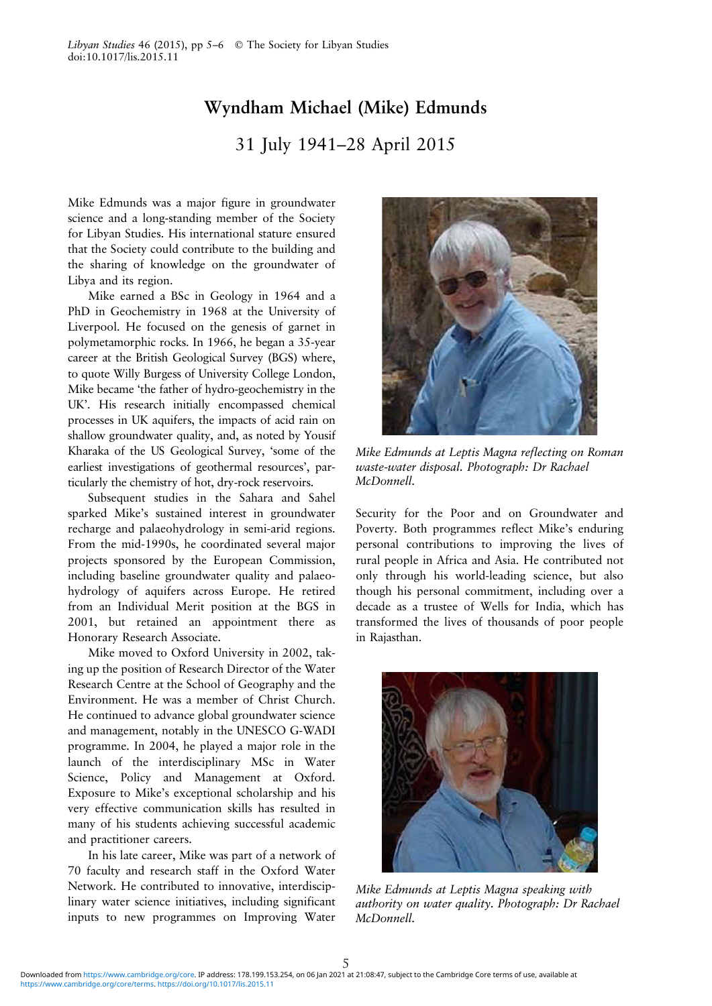## Wyndham Michael (Mike) Edmunds

31 July 1941–28 April 2015

Mike Edmunds was a major figure in groundwater science and a long-standing member of the Society for Libyan Studies. His international stature ensured that the Society could contribute to the building and the sharing of knowledge on the groundwater of Libya and its region.

Mike earned a BSc in Geology in 1964 and a PhD in Geochemistry in 1968 at the University of Liverpool. He focused on the genesis of garnet in polymetamorphic rocks. In 1966, he began a 35-year career at the British Geological Survey (BGS) where, to quote Willy Burgess of University College London, Mike became 'the father of hydro-geochemistry in the UK'. His research initially encompassed chemical processes in UK aquifers, the impacts of acid rain on shallow groundwater quality, and, as noted by Yousif Kharaka of the US Geological Survey, 'some of the earliest investigations of geothermal resources', particularly the chemistry of hot, dry-rock reservoirs.

Subsequent studies in the Sahara and Sahel sparked Mike's sustained interest in groundwater recharge and palaeohydrology in semi-arid regions. From the mid-1990s, he coordinated several major projects sponsored by the European Commission, including baseline groundwater quality and palaeohydrology of aquifers across Europe. He retired from an Individual Merit position at the BGS in 2001, but retained an appointment there as Honorary Research Associate.

Mike moved to Oxford University in 2002, taking up the position of Research Director of the Water Research Centre at the School of Geography and the Environment. He was a member of Christ Church. He continued to advance global groundwater science and management, notably in the UNESCO G-WADI programme. In 2004, he played a major role in the launch of the interdisciplinary MSc in Water Science, Policy and Management at Oxford. Exposure to Mike's exceptional scholarship and his very effective communication skills has resulted in many of his students achieving successful academic and practitioner careers.

In his late career, Mike was part of a network of 70 faculty and research staff in the Oxford Water Network. He contributed to innovative, interdisciplinary water science initiatives, including significant inputs to new programmes on Improving Water



Mike Edmunds at Leptis Magna reflecting on Roman waste-water disposal. Photograph: Dr Rachael McDonnell.

Security for the Poor and on Groundwater and Poverty. Both programmes reflect Mike's enduring personal contributions to improving the lives of rural people in Africa and Asia. He contributed not only through his world-leading science, but also though his personal commitment, including over a decade as a trustee of Wells for India, which has transformed the lives of thousands of poor people in Rajasthan.



Mike Edmunds at Leptis Magna speaking with authority on water quality. Photograph: Dr Rachael McDonnell.